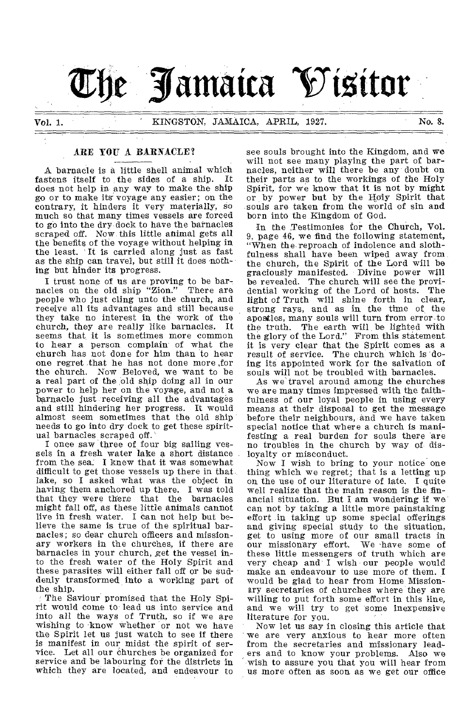

# ARE YOU A BARNACLE?

A barnacle is a little shell animal which<br>stens itself to the sides of a ship. It fastens itself to the sides of a ship. does not help in any way to make the ship go or to make its voyage any easier; on the contrary, it hinders it very materially, so much so that many times vessels are forced to go into the dry dock to have the barnacles scraped off. Now this little animal gets all the benefits of the voyage without helping in the least. It is carried along just as fast<br>as the ship can travel, but still it does nothing but hinder its progress.

I trust none of us are proving to be bar-nacles on the old ship "Zion." There are people who just cling unto the church, and receive all its advantages and still because they take no interest in the work of the church, they are really like barnacles. It seems that, it is sometimes more common to hear a person complain of what the church has not done for him than to hear one regret that he has not done more ,for the church. Now Beloved, we want to be a real part of the old ship doing all in our power to help her on the voyage, and not a barnacle just receiving all the advantages and still hindering her progress. It would almost seem sometimes that the old ship needs to go into dry dock to get these spiritual barnacles scraped off.

I once saw three of four big sailing vessels in a fresh water lake a short distance from the sea. I knew that it was somewhat difficult to get those vessels up there in that lake, so I asked what was the object in having them anchored up there. I was told<br>that they were there that the barnacles that they were there that the might fall off, as these little animals cannot live in fresh water. I can not help but believe the same is true of the spiritual barnacles; so dear church officers and missionary workers in the churches, if there are barnacles in your church, get the vessel into the fresh water of the Holy Spirit and these parasites will either fall off or be suddenly transformed into a working part of the ship.

The Saviour promised that the Holy Spirit would come to lead us into service and into all the ways of Truth, so if we are wishing to know whether or not we have the Spirit let us just watch to see if there is manifest in our midst the spirit of service. Let all our churches be organized for service and be labouring for the districts in which they are located, and endeavour to

see souls brought into the Kingdom, and we will not see many playing the part of barnacles, neither will there be any doubt on their parts as to the workings of the Holy Spirit, for we know that it is not by might or by power but by the Holy Spirit that souls are taken from the world of sin and born into the Kingdom of God.

In the Testimonies for the Church, Vol. 9, page 46, we find the following statement, "When the reproach of indolence and slothfulness shall have been wiped away from the church, the Spirit of the Lord will be graciously manifested. Divine power will be revealed. The church will see the providential working of the Lord of hosts. The light of Truth will shine forth in clear, strong rays, and as in the time of the apostles, many souls will turn from error to the truth. The earth will be lighted with the glory of the Lord." From this statement it is very clear that the Spirit comes as a result of service. The church which is 'doing its appointed work for the salvation of souls will not be troubled with barnacles.

As we'travel around among the churches we are many times impressed with the, faithfulness of our loyal people in using every means at their disposal to get the message before their neighbours, and we have taken special notice that where a church is manifesting a real burden for souls there are no troubles in the church by way of disloyalty or misconduct.

Now I wish to bring to your notice one thing which we regret; that is a letting up on the use of our literature of late. I quite well realize that the main reason is the financial situation. But I am wondering if we can not by taking a little more painstaking effort in taking up some special offerings and giving special study to the situation, get to using more of our small tracts in<br>our missionary effort. We have some of our missionary effort. these little messengers of truth which are very cheap and I wish our people would make an endeavour to use more of them. I would be glad to hear from Home Missionary secretaries of churches where they are willing to put forth some effort in this line, and we will try to get some inexpensive literature for you.

Now let us say in closing this article that we are very anxious to hear more often from the secretaries and missionary leaders and to know your problems. Also we wish to assure you that you will hear from us more often as soon as we get our office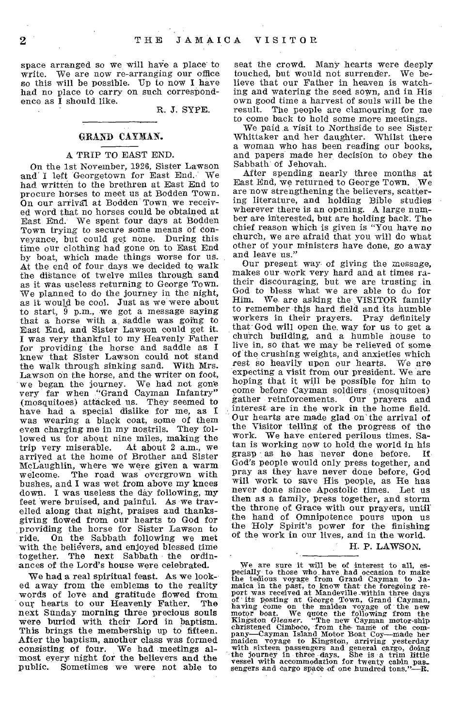space arranged so we will have a place to write. We are now re-arranging our office so this will be possible. Up to now I have had no place to carry on such correspondence as I should like.

R. J. SYPE.

## GRAND CAYMAN.

# A TRIP TO EAST END.

On the 1st November, 1926, Sister Lawson and I left Georgetown for East End. We had written to the brethren at East End to procure horses to meet us at Bodden Town. On our arrival. at Bodden Town, we received word that no horses could be obtained at East End. We spent four days at Bodden Town trying to secure some means of Conveyance, but could get none. During this time our clothing had gone on to East End by boat, which made things worse for us. At the end of four days we decided to walk the distance of twelve miles through sand as it was useless returning to George Town. We planned to do the journey in the night, as it would be cool. Just as we were about to start,  $\tilde{9}$  p.m., we got a message saying that a horse with a. saddle was going to East End, and Sister Lawson could get it. I was very thankful to my Heavenly Father for providing the horse and saddle as I knew that Sister Lawson could not stand the walk through sinking sand. With Mrs. Lawson on the horse, and the writer on foot, we began the journey. We had not gone very far when "Grand Cayman Infantry" (mosquitoes) attacked us. They seemed to have had a special dislike for me, as I was wearing a black coat, some of them even charging me in my nostrils. They followed us for about nine miles, making the<br>trip very miserable. At about 2 a.m., we At about 2 a.m., we arrived at the home of Brother and Sister McLaughlin, where we were given a warm welcome. The road was overgrown with bushes, and I was wet from above my knees down. I was useless the day following, my feet were bruised, and painful. As we travelled along that night, praises and thanksgiving flowed from our hearts to God for providing the horse for Sister Lawson to ride. On the Sabbath following we met with the believers, and enjoyed blessed time together. The next Sabbath the ordinances of the Lord's house were celebrated.

We had a real spiritual feast. As we looked away from the emblems to the reality words of love and gratitude flowed from<br>our hearts to our Heavenly Father. The our hearts to our Heavenly Father. next Sunday morning three precious souls were buried with their Lord in baptism. This brings the membership up to fifteen. After the baptism, another class was formed consisting of four. We had meetings almast every night for the believers and the public. Sometimes we were not able to

seat the crowd. Many hearts were deeply touched, but would not surrender. We believe that our Father in heaven is watching and watering the seed sown, and in His own good time a harvest of souls will be the result. The people are clamouring for me to come back to hold some more meetings.

We paid .a visit to Northside to see Sister Whittaker and her daughter. Whilst there a woman who has been reading our books, and papers made her decision to obey the Sabbath of Jehovah.

After spending nearly three months at East End, we returned to George Town. We are now strengthening the believers, scattering literature, and holding Bible studies wherever there is an opening. A large number are interested, but are holding back. The chief reason which is given is "You have no church, we are afraid that you will do what other of your ministers have done, go away and leave us."

Our present way of giving the message, makes our- work very hard and at times ratheir discouraging, but we are trusting in God to bless what we are able to du for Him. We are asking the VISITOR family to remember this hard field and its humble workers in their prayers. Pray definitely that God will open the. way for us to get a church building, and a humble house to live in, so that we may be relieved of some of the crushing weights, and anxieties which rest so heavily upon our hearts. We are expecting a visit from our president. We are hoping that it will be possible for him to come before Cayman soldiers (mosquitoes)<br>gather reinforcements. Our prayers and gather reinforcements. interest are in the work in the home field. Our hearts are made glad on the arrival of the Visitor telling of the progress of the work. We have entered perilous times. Satan is working now to hold the world in his grasp as he has never done before. If God's people would only press together, and pray as they have never done before, God will work to save His people, as He has never done since Apostolic times. then as a family, press together, and storm the throne of Grace with our prayers, until the hand of Omnipotence pours upon us the Holy Spirit's power for the finishing of the work in our lives, and in the world.

H. P. LAWSON.

We are sure it will be of interest to all, especially to those who have had occasion to make the edious voyage from Grand Cayman to Jamaica in the past, to know that the foregoing report was received at Mandeville within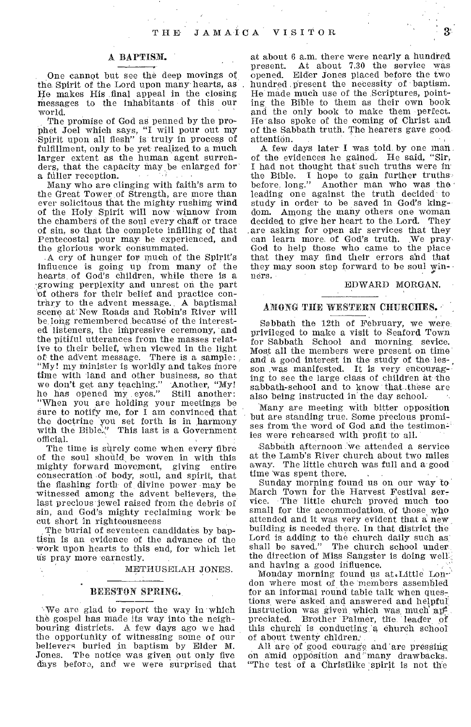# A BAPTISM. •

One cannot but see the deep movings of the Spirit of the Lord upon many hearts, as He makes His final appeal in the closing Messages to the inhabitants of this our world.

The promise of God as penned by the prophet Joel which says, "I will pour out my Spirit upon all flesh" is truly in process of fulfillment, only to be yet realized to a much larger extent as the human agent surrenders, that the capacity may be enlarged for a fuller reception.

Many who are clinging with faith's arm to the Great Tower of Strength, are more than ever solicitous that the mighty rushing wind of the Holy Spirit will now winnow from the chambers of the soul every chaff or trace of sin, so that the complete infilling of that Pentecostal pour may be experienced, and the glorious work consummated.

.A cry of hunger for much of the Spirit's influence is going up from many of the hearts, of God's children, while there is a growing perplexity and unrest on the part of others for their belief and practice contrary to the advent message. A baptismal scene at' New Roads and Robin's River will be, long remembered because of the interested listeners, the impressive ceremony, 'and the pitiful utterances from the masses relative to their belief, when viewed in the light of the adVent message. There is a sample: "My! my minister is worldly and takes more time with land and other business, so that we don't get any teaching." Another, "My! he has opened my eyes." Still another: "When you are holding your meetings be sure to notify me, for I am convinced that the doctrine you set forth is in harmony with the Bible." This last is a Government official.

The time is surely come when every fibre of the soul should be woven in with this mighty forward movement, giving entire consecration of body, soul, and spirit, that the flashing forth of, divine power may be witnessed among the advent believers, the last precious jewel raised from the debris of sin, and God's mighty reclaiming work be cut short in righteousneess

The burial of seventeen candidates by baptism is an evidence of the advance of the work upon hearts to this end, for which let us pray more earnestly.

METHUSELAH JONES.

#### BEESTON SPRING.

`'We are glad to report the way, in which the gospel has made its way into the neighbouring districts. A few days ago we had the opportunity of witnessing some of our believers buried in baptism by Elder M. Jones. The notice was given out only five days before, and we were surprised that

at about 6 a.m. there were nearly a hundred present. At about 7.30 the service was opened. Elder Jones placed before the two hundred present the necessity of baptism. He made much use of the Scriptures, pointing the Bible to them as their own book and the only book to make them perfect. He also spoke of the coming of Christ and of the Sabbath truth. The hearers gave goodattention.

A few days later I was told, by one man of the evidences he gained. He said, "Sir, I had not thought that such truths were in the Bible. I hope to gain further truths-<br>before long." Another man who was the Another man who was the leading one against the truth decided to study in order to be saved in God's kingdom. Among the many others one woman decided to give her heart to the Lord. They are asking for open air services that they<br>can learn more of God's truth. We praycan learn more. of God's truth. God to help those who came to the place that they may find their errors and that that they may find their errors and that<br>they may soon step forward to be soul win-<br>ners. ners.

#### EDWARD MORGAN.

# AMONG TIlE WESTERN CHURCHES.

Sabbath the 12th of February, we were: privileged to make a visit to Seaford Town for Sabbath School and morning. sevice. Most all the members were present on timeand a good interest in the study of the les- , son was manifested. It is very encouraging to see the large class of children at the sabbath-school and to know that .these are also being instructed in' the day school.

Many are meeting with bitter opposition but are standing true. Some precious promises from 'the word of God and the testimon-' ies were rehearsed with profit to all.

Sabbath afternoon we attended a service at the Lamb's River church about two miles away. The little church was full and a good time Was spent there.

Sunday morning found us on our way to' March Town for the Harvest Festival service. 'The little church proved much too small for the accommodation, of those who attended and it was very evident that a new, building is needed there. In that district the Lord is adding to the church daily such as: shall be saved." The church school underthe direction of Miss Sangster is doing well. and having a good influence.

Monday morning found us at.Little London where most of the members assembled for an informal round' table talk when questions. were' asked and answered and helpful' instruction was given which was much apt preciated. Brother Palmer, the leader of this church is conducting.'a Chureh school of about twenty chldren:

All are of good courage and are pressing on amid opposition and many drawbacks. "The test of a Christlike spirit is not the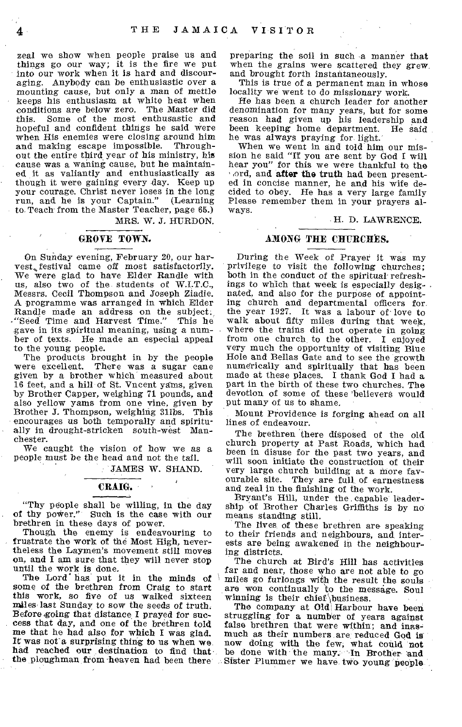zeal we show when people praise us and things go our way; it is the fire we put into our work when it is hard and discouraging. Anybody can be enthusiastic over a mounting cause, but only a man of mettle keeps his enthusiasm at white heat when conditions are below zero. The Master did Some of the most enthusastic and hopeful and confident things he said were when His enemies were closing around him and making escape impossible. Throughout the entire third year of his ministry, his cause was a waning cause, but he maintained it as valiantly and enthusiastically as though it were gaining every day. Keep up your courage. Christ never loses in the long<br>run, and he is your Captain." (Learning run, and he is your Captain." to. Teach from the Master Teacher, page 65.) MRS. W. J. HURDON.

## GROVE TOWN.

On Sunday evening, February 20, our harvest, festival came off most satisfactorily. We were glad to have Elder Randle with us, also two of the students of W.I.T.C., Messrs. Cecil Thompson and Joseph Ziadie. A programme was arranged in which Elder Randle made an address on the subject.<br>"Seed Time and Harvest Time." This he "Seed Time and Harvest Time." gave in its spiritual meaning, using a number of texts. He made an especial appeal to the young people.

The products brought in by the people were excellent. There was a sugar cane given by a brother which measured about 16 feet, and a hill of St. Vncent yams, given by Brother Capper, weighing 71 pounds, and also yellow yams from one vine, given by Brother J. Thompson, weighing 311bs. This encourages us both temporally and spiritually in drought-stricken south-west Manchester.

We caught the vision of how we as a people must be the head and not the tail.

JAMES W. SHAND.

# CRAIG.

"Thy people shall be willing, in the day of thy power." Such is the case with our brethren in these days of power.

Though the enemy is endeavouring to frustrate the work of the Most High, nevertheless the Laymen's movement still moves on, and I am sure that they will never stop until the work is done.

The Lord<sup>\*</sup> has put it in the minds of some of the brethren from Craig to start this work, so five of us walked sixteen males last Sunday to sow the seeds of truth. Before going that distance I prayed for success that day, and one of the brethren told me that he had also for which I was glad. It was not a surprising thing to us when we. had reached our destination to find that

preparing the soil in such a manner that when the grains were scattered they grew, and brought forth instantaneously.

This is true of a permanent man in whose locality we went to do missionary work.

He has been a church leader for another denomination for many years, but for some reason had given up his leadership and been keeping home department. He said he was always praying for light.'

When we went in and told him our mission he said "If you are sent by God I will hear you" for this we were thankful to the and after the truth had been presented in concise manner, he and his wife decided to obey. He has a very large family Please remember them in your prayers always.

#### H. D. LAWRENCE.

# AMONG THE CHURCHES.

During the Week of Prayer it was my privilege to visit the following churches; both in the conduct of the spiritual' refreshings to which that week is especially desig-. nated, and also for the purpose of appointing church and departmental officers for the year 1927. It was a labour of love to walk about fifty miles during that week, where the trains did not operate in going from one church to the other. I enjoyed very much the opportunity of visiting Blue Hole and Hellas Gate and to see the growth numerically and spiritually that has been made at these places. I thank God I had a part in the birth of these two churches. The devotion of some of these 'believers would put many of us to shame.

Mount Providence is forging ahead on all lines of endeavour.

The brethren there disposed of the old church property at Past Roads, which had been in disuse for the past two years, and will soon initiate the construction of their very large church building at a more favourable site. They are full, of earnestness and zeal in the finishing of the work.

Bryant's Hill, under the . capable leadership of Brother Charles Griffiths is by no means standing still.

The lives of these brethren are speaking to their friends and neighbours, and interests are being awakened in the neighbouring districts.

The church at *Bird's* Hill has activities far and near, those who are not able to go miles go furlongs with the result the souls are won continually to the message. Soul winning is their chief business.

the ploughman from 'heaven had been there Sister Plummer we have two young' people The company at Old Harbour have been struggling for a number of years against false brethren that were within; and inasmuch as their numbers are reduced God is now doing with the few, what could not be done with the many. In Brother and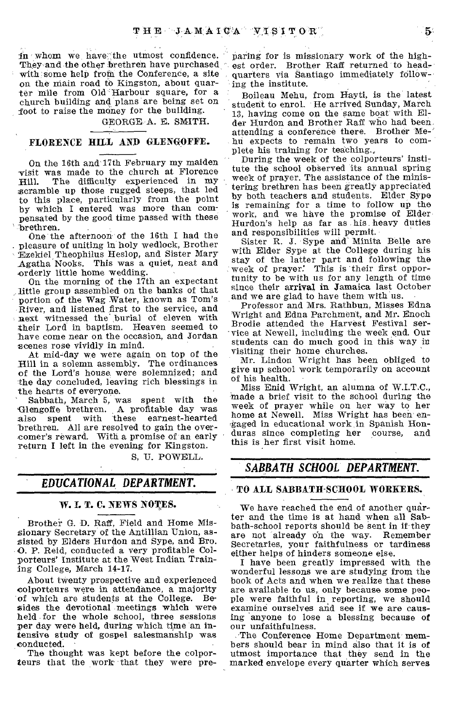in whom we have the utmost confidence. They and the other brethren have purchased with 'some help from the Conference, a site on the main road to Kingston, about quarter mile from Old Harbour square, for a church building and plans are being set on foot to raise the money for the building.

GEORGE A. E. SMITH.

# FLORENCE HILL AND GLENGOFFE.

On the 16th and 17th February my maiden -visit was made to the church at Florence Hill. The difficulty experienced in my scramble up those rugged steeps, that led to this place, particularly from the point by which I entered was more than compensated by the good time passed with these brethren.

One the afternoon of the 16th I had the pleasure of uniting in holy wedlock, Brother EzekieITheophilus Heslop, and Sister Mary Agatha Nooks. This was a quiet, neat and orderly little home wedding.

On the morning of the 17th an expectant little group assembled on the banks of that portion of the Wag Water, known as Tom's River, and listened first to the service, and next witnessed the burial of eleven with their Lord in baptism. Heaven seemed to have come near on the occasion, and Jordan scenes rose vividly in mind.

At mid-day we were again on top of the Hill in a solemn assembly. The ordinances of the Lord's house, were solemnized; and the day concluded, leaving rich blessings in the hearts of everyone.

Sabbath, March 5, was spent with the Glengoffe brethren. A profitable day was also spent with these earnest-hearted brethren. All are resolved to gain the overcomer's reward. With a promise of an early return I left in the evening for Kingston.

S, U. POWELL.

# *EDUCATIONAL DEPARTMENT.*

# W. I. T. C. NEWS NOTES.

Brother G. D. Raff, Field and Home Missionary Secretary of the Antillian Union, assisted by Elders Hurdon and Sype, and Bro. 0. P. Reid, conducted a very profitable Colporteurs' Institute at the West Indian Training College, March 14-17.

About twenty prospective and experienced colporteurs were in attendance, a majority of which are students at the College. Besides the devotional meetings which were held for the whole school, three sessions per day were held, during which time an intensive study of gospel salesinanship was conducted.

The thought was kept before the colporteurs that the work that they were preparing for is missionary work of the highest order. Brother Raff returned to headquarters via Santiago immediately following the institute.

Boileau Mehu, from Hayti, is the latest student to enrol. He arrived Sunday, March 13, having come on the same boat with Elder Hurdon and Brother Raft who had been attending a conference there. Brother Mehu expects to remain two years to complete his training for teaching.,

During the week of the colporteurs' institute the school observed its annual spring week of prayer. The assistance of the ministering brethren has been greatly appreciated by both teachers and students. Elder Sype is remaining for a time to follow up the work, and we have the promise of Elder Hurdon's help as far as his heavy duties and responsibilities will permit.

Sister R. J. Sype and" Minita Belle are with Elder Sype at the College during his stay of the latter part and following the week of prayer: This is their first opportunity to be with us for any length of time since their arrival in Jamaica last October and we are glad to have them with us.

Professor and Mrs. Rathbun, Misses Edna Wright and Edna Parchment, and Mr. Enoch Brodie attended the Harvest Festival service at Newell, including the week end. Our students can do much good in this way in visiting their home churches.

Mr. Lindon Wright has been obliged to give up school work temporarily on account of his health.

Miss Enid Wright, an alumna of W.I.T.C., made a brief visit to the school during the week of prayer while on her way to her home at Newell. Miss Wright has been engaged in educational work in Spanish Hon-<br>duras since completing her course, and duras since completing her course, this is her first visit home.

# *SABBATH SCHOOL DEPARTMENT.*

# TO ALL SABBATH-SCHOOL WORKERS.

We have reached the end of another quarter and the time is at hand when all Sabbath-school reports should be sent in if they<br>are not already on the way. Remember are not already on the way. Secretaries, your faithfulness or tardiness either helps of hinders someone else.

I have been greatly impressed with the wonderful lessons we are studying from the book of Acts and when we realize that these are available to us, only because some people were faithful in reporting, we should examine ourselves and see if we are causing anyone to lose a blessing because of our unfaithfulness.

The Conference Home Department members should bear in mind also that it is of utmost importance that they send in the marked envelope every quarter which serves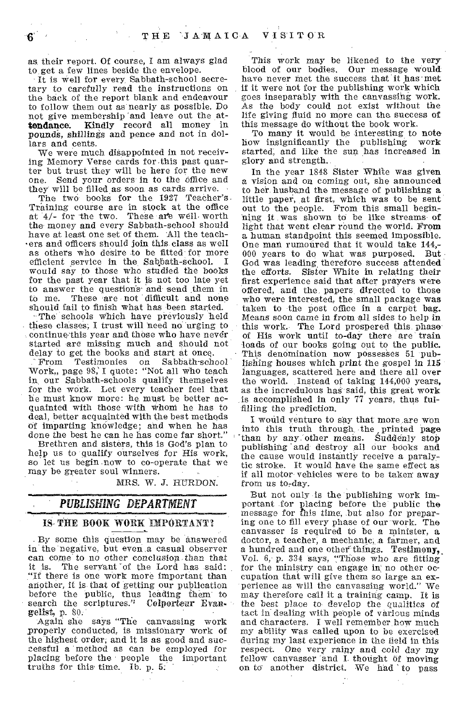as their report. Of course, I am always glad to get a few lines beside the envelope.

It is well for every. Sabbath-school secretary to carefully read the instructions on the back of the report blank and endeavour to follow them out as nearly as possible. Do not give membership and leave out the attendance; Kindly record all money in pounds, shillings and pence and not in dollars and cents.

We were much disappointed in not receiving Memory Verse cards for .this past quarter but trust they will be here for the new one. Send your orders in to the office and they will be filled as soon as cards arrive.

The two books for the 1927 Teacher's Training course are in stock at the office at  $4/-$  for the two. These are well worth the money and every Sabbath-school should have at least one set of them. 'All the teachers and officers should join this, class as well as others who desire to be fitted for more efficient service in the Sabbath-school. would say to those who studied the books for the past year that it is not too late yet to answer the questions and send them in to me. These are not difficult and none should fail to finish what has been started.

The schools which have previously held these classes; I trust will need no urging to continue this year and those who have never started are missing much and should not

delay to get the books and start at once.<br>From Testimonies on Sabbath-school Testimonies on Work, page 98, I quote: "Not all who teach in. our Sabbath-schools qualify themselves for the work. Let every teacher feel that he must know more: he, must be better acquainted with those with whom he has to deal, better acquainted with the best methods of imparting knowledge; and when he has done the best he can he has come far short."

Brethren and sisters, this is God's plan to help us to 'qualify ourselves for His work, so let us begin now to co-operate that we may be greater soul winners.

MRS. W. J. HURDON.

# *PUBLISHING DEPARTMENT*

## IS,THE BOOK WORK IMPORTANT'

By some this question may be answered in the negative, but even a casual observer can come to no other conclusion than that<br>it is. The servant of the Lord has said: The servant of the Lord has said: "If there is one work more important than another, it is that of getting our publication before the public, thus leading them to search the scriptures." Colporteur *Evan- gelist,* p. 80:

Again she says "The canvassing work properly conducted, is missionary work of the highest order; and it is as good and successful a method as can be employed for placing before the people the important truths for this time. lb. p. 5;

This work may be likened to the very blood of our bodies. Our message would have never met the success that it has met if it were not for the publishing work which goes inseparably with the canvassing work. As the body could not exist without the life giving fluid no more can the success of this message do without the book work.

To many it would be interesting to note<br>w insignificantly the publishing work how insignificantly the publishing started; and like the sun has increased in glory and strength.

In the year 1848 Sister White was given a *vision* and on coming out, she announced to her husband the message of publishing a little paper, at first, which was to be sent out to the people. From this small beginning it was shown to be like streams of light that went clear round the world. From a human standpoint this seemed impossible. One man rumoured that it would take 144,-<br>000 years to do what was purposed. But 000 years to do what was purposed. God was leading, therefore success attended the efforts. Sister White in relating their first experience said that after prayers were offered, and the, papers, directed to those who were interested, the small package was taken to the post office in a carpet bag. Means soon came in from all sides to help in this work. The Lord prospered this, phase of His work until to-day there are' train loads of our books going out to the public. This denomination now possesses 51 publishing houses which print the gospel in 115 languages, scattered here and there all over the World. Instead of taking 144;000 years, as the incredulous has said, this great work is accomplished in only 77 years, thus fulfilling the prediction.

I would venture to say that more, are won into this truth through, the \_printed page than by any other means. Suddenly stop publishing 'and destroy all our books and the cause would instantly receive a paralytic stroke. It would have the same effect as if all motor vehicles were to be taker away from us to-day.

But not only is the publishing work important for placing before the public the message for this time, but also for preparing one to fill every phase of our work. The canvasser is required to be a minister, a doctor, a teacher; a mechanic, a farmer, and a hundred and one other things. Testimony, Vol. 6, p. 334 says, "Those who are fitting for the ministry can engage in no other occupation that will give them so large an experience as will the canvassing world." may therefore call it a training camp. It is the best place to develop the qualities of tact in dealing with people of various minds and characters. I well remember how much my ability was called upon to be exercised during my last experience in the field in this respect. One very rainy and cold day my fellow canvasser and I thought of moving on to another district. We had to pass

Ъ.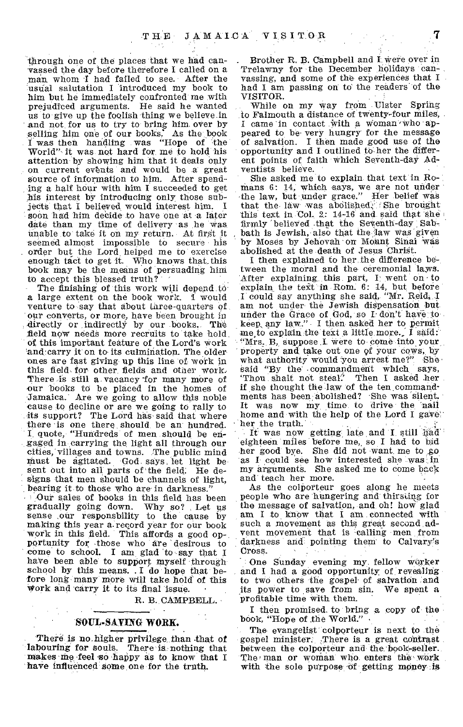through one of the places that we had canvassed the day before therefore I called on a man. whom I had failed to see. After the 'usual salutation I introduced my book to him but he immediately confronted me with prejudiced arguments. He said he wanted us to give up the foolish thing we believe .in and not for us to try to bring him over by selling him one of our books. As the book I was then handling was "Hope of the World"- it was not hard for me to hold his attention by showing him that it deals only on current events and would be a great Source of information to him. After spending a half hour with him I succeeded to get his interest by introducing only those subjects that I believed, would interest him. I soon had him decide to have one at a later date than my time of delivery as he was Unable to take it on my return. At first it seemed almost impossible to secure his . order but the Lord, helped me to exercise enough tact to get it. Who knows that. this book may be the means of persuading him to accept this blessed truth?

The finishing of this work will depend to a large extent on the book work. 1 would venture to say that about three-quarters of our converts, or more, have been brought in directly or indirectly by our books. The field now needs more recruits to take hold of this important feature of the Lord's work and carry it on to its culmination. The older ones are fast giving up this line of work in this field for other fields and other work. There is still a vacancy for many more of our books to be placed in the homes of Jamaica. Are we going to allow this noble cause to decline or are we going to rally to its support? The Lord has said that where there is one there should be an hundred. I quote, "Hundreds of men should be engaged in carrying the light all through our cities, villages and towns. The public mind Must be agitated. God says, let light be sent out into all parts of the field. He designs that men should be channels of light, bearing it to those who are in darkness.'

Our sales of books in this field has been gradually gding down. Why so? Let us sense our responsbility to the cause by making this year a.record year for our book work in this field. This affords a good opportunity for those who are 'desirous to come to school. I am, glad to say that I haVe been able to support myself through school by this means. I do hope that before long many more will take hold of this work and carry it to its final issue.

R. B. CAMPBELL.

## SOUL-SAVING WORK.

There is no higher privilege than that of labouring for souls. There is nothing that makes me feel so happy as to know that I have influenced some one for the truth.

Brother R. B. Campbell and I Were over in Trelawny for the December holidays canvassing, and some of the experiences that I had I am passing on to the readers of the

While on my way from Ulster Spring to Falmouth a distance of twenty-four miles, I came in contact With a Woman 'who appeared to be very hungry for the message of salvation. I then made good use of the opportunity and I outlined to-her the different points of faith which Seventh-daY Adventists believe.

She asked me to explain that text in Romans 6: 14, which says, we are not under the law, but under grace." Her belief was that the law was abolished. She brought this text in Col. 2: 14-16 and said that she firmly "belieVed that the SeVenth-day , Sab-bath is Jewish, also that the,law was given by Moses by Jehovah on Mohnt Sinai Was abolished at the death of Jesus Christ.

I then explained to her, the difference between the moral and the ceremonial laws. After explaining this part, I went on to explain the text in Rom. 6: 14, but before I could say anything she said, "Mr. Reid, I am not under the Jewish dispensation but under the Grace of God, so I don't have to keep, any law." I then asked her to permit me to explain the text a little more. I said: "Mrs. B, suppose I were to come into your, property and, take out one of your coWs, by what authority would you arrest me?" She said "By the commandment which says, said "By the commandment which says,<br>'Thou shalt not steal? Then I asked her if she thought the law of the ten,commandmeats has been abolished? She was silent. It was now my time to drive the nail home and with the help of the Lord I gave' her the truth.

It was now getting late and I still had eighteen miles before me, so I had to bid her good bye. She did not want me to go as I could see how interested she was' in my arguments. She asked me to come back and teach her more.

As the colporteur goes along he meets people who are hungering and thirsting for the message of salvation, and oh! how glad am I to know that I am connected with such a movement as this great second advent movement that is -calling men from darkness and pointing them to Calvary's Cross.

One Sunday evening my fellow worker and I had a good opportunity of revealing to two others the gospel of salvation and its power to save from sin. We spent a profitable time with them.

I then promised to bring a copy of the book, "Hope of the World."

The evangelist colporteur is next to the gospel minister. -There is a great contrast between the colporteur and the book-seller. The man or woman who enters the work with the sole purpose of getting money is